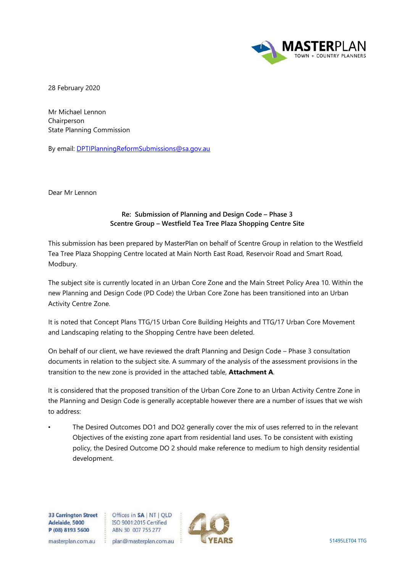

28 February 2020

Mr Michael Lennon Chairperson State Planning Commission

By email: [DPTIPlanningReformSubmissions@sa.gov.au](mailto:DPTIPlanningReformSubmissions@sa.gov.au) 

Dear Mr Lennon

## **Re: Submission of Planning and Design Code – Phase 3 Scentre Group – Westfield Tea Tree Plaza Shopping Centre Site**

This submission has been prepared by MasterPlan on behalf of Scentre Group in relation to the Westfield Tea Tree Plaza Shopping Centre located at Main North East Road, Reservoir Road and Smart Road, Modbury.

The subject site is currently located in an Urban Core Zone and the Main Street Policy Area 10. Within the new Planning and Design Code (PD Code) the Urban Core Zone has been transitioned into an Urban Activity Centre Zone.

It is noted that Concept Plans TTG/15 Urban Core Building Heights and TTG/17 Urban Core Movement and Landscaping relating to the Shopping Centre have been deleted.

On behalf of our client, we have reviewed the draft Planning and Design Code – Phase 3 consultation documents in relation to the subject site. A summary of the analysis of the assessment provisions in the transition to the new zone is provided in the attached table, **Attachment A**.

It is considered that the proposed transition of the Urban Core Zone to an Urban Activity Centre Zone in the Planning and Design Code is generally acceptable however there are a number of issues that we wish to address:

The Desired Outcomes DO1 and DO2 generally cover the mix of uses referred to in the relevant Objectives of the existing zone apart from residential land uses. To be consistent with existing policy, the Desired Outcome DO 2 should make reference to medium to high density residential development.

**33 Carrington Street Adelaide, 5000 P (08) 8193 5600** 

Offices in **SA | NT | QLD** ISO 9001 :2015 Certified ABN 30 007 755 277



masterplan.com.au plan@masterplan.com.au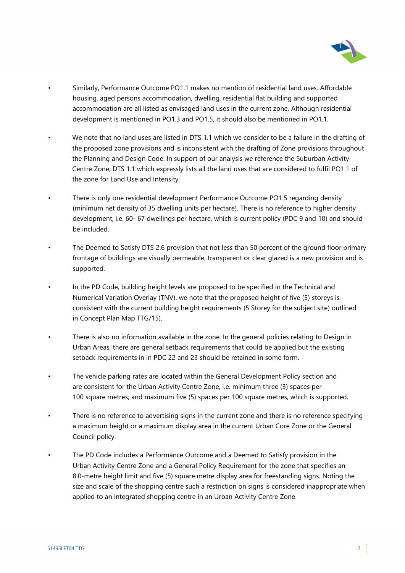

- Similarly, Performance Outcome PO1.1 makes no mention of residential land uses. Affordable housing, aged persons accommodation, dwelling, residential flat building and supported accommodation are all listed as envisaged land uses in the current zone. Although residential development is mentioned in PO1.3 and PO1.5, it should also be mentioned in PO1.1.
- We note that no land uses are listed in DTS 1.1 which we consider to be a failure in the drafting of the proposed zone provisions and is inconsistent with the drafting of Zone provisions throughout the Planning and Design Code. In support of our analysis we reference the Suburban Activity Centre Zone, DTS 1.1 which expressly lists all the land uses that are considered to fulfil PO1.1 of the zone for Land Use and Intensity.
- There is only one residential development Performance Outcome PO1.5 regarding density (minimum net density of 35 dwelling units per hectare). There is no reference to higher density development, i.e. 60- 67 dwellings per hectare, which is current policy (PDC 9 and 10) and should be included.
- The Deemed to Satisfy DTS 2.6 provision that not less than 50 percent of the ground floor primary frontage of buildings are visually permeable, transparent or clear glazed is a new provision and is supported.
- In the PD Code, building height levels are proposed to be specified in the Technical and Numerical Variation Overlay (TNV). we note that the proposed height of five (5) storeys is consistent with the current building height requirements (5 Storey for the subject site) outlined in Concept Plan Map TTG/15).
- There is also no information available in the zone. In the general policies relating to Design in Urban Areas, there are general setback requirements that could be applied but the existing setback requirements in in PDC 22 and 23 should be retained in some form.
- The vehicle parking rates are located within the General Development Policy section and are consistent for the Urban Activity Centre Zone, i.e. minimum three (3) spaces per 100 square metres; and maximum five (5) spaces per 100 square metres, which is supported.
- There is no reference to advertising signs in the current zone and there is no reference specifying a maximum height or a maximum display area in the current Urban Core Zone or the General Council policy.
- The PD Code includes a Performance Outcome and a Deemed to Satisfy provision in the Urban Activity Centre Zone and a General Policy Requirement for the zone that specifies an 8.0-metre height limit and five (5) square metre display area for freestanding signs. Noting the size and scale of the shopping centre such a restriction on signs is considered inappropriate when applied to an integrated shopping centre in an Urban Activity Centre Zone.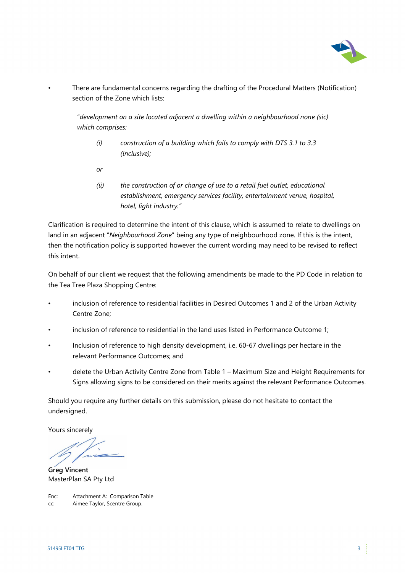

• There are fundamental concerns regarding the drafting of the Procedural Matters (Notification) section of the Zone which lists:

"*development on a site located adjacent a dwelling within a neighbourhood none (sic) which comprises:*

- *(i) construction of a building which fails to comply with DTS 3.1 to 3.3 (inclusive);*
- *or*
- *(ii) the construction of or change of use to a retail fuel outlet, educational establishment, emergency services facility, entertainment venue, hospital, hotel, light industry."*

Clarification is required to determine the intent of this clause, which is assumed to relate to dwellings on land in an adjacent "*Neighbourhood Zone*" being any type of neighbourhood zone. If this is the intent, then the notification policy is supported however the current wording may need to be revised to reflect this intent.

On behalf of our client we request that the following amendments be made to the PD Code in relation to the Tea Tree Plaza Shopping Centre:

- inclusion of reference to residential facilities in Desired Outcomes 1 and 2 of the Urban Activity Centre Zone;
- inclusion of reference to residential in the land uses listed in Performance Outcome 1;
- Inclusion of reference to high density development, i.e. 60-67 dwellings per hectare in the relevant Performance Outcomes; and
- delete the Urban Activity Centre Zone from Table 1 Maximum Size and Height Requirements for Signs allowing signs to be considered on their merits against the relevant Performance Outcomes.

Should you require any further details on this submission, please do not hesitate to contact the undersigned.

Yours sincerely

**Greg Vincent** MasterPlan SA Pty Ltd

Enc: Attachment A: Comparison Table cc: Aimee Taylor, Scentre Group.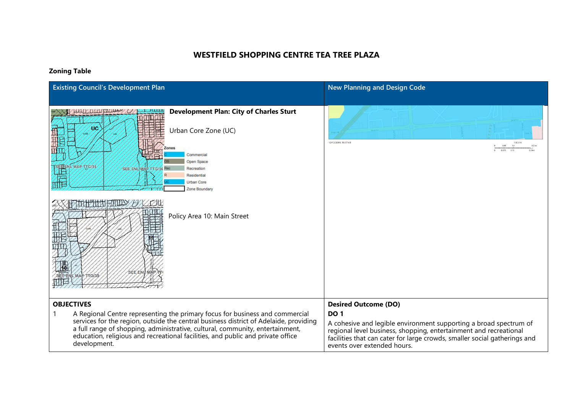## **WESTFIELD SHOPPING CENTRE TEA TREE PLAZA**

## **Zoning Table**

| <b>Existing Council's Development Plan</b>                                                                                                                                                                                                                                                                                                                                     | <b>New Planning and Design Code</b>                                                                                                                                                                                                                                                              |
|--------------------------------------------------------------------------------------------------------------------------------------------------------------------------------------------------------------------------------------------------------------------------------------------------------------------------------------------------------------------------------|--------------------------------------------------------------------------------------------------------------------------------------------------------------------------------------------------------------------------------------------------------------------------------------------------|
| <b>Development Plan: City of Charles Sturt</b><br>ЮC<br>Urban Core Zone (UC)<br>Zones<br>Commercial<br>Open Space<br>MAP TTG/35<br>SEE ENL MAP TTG/36 Rec<br>Recreation<br>Residential<br>Urban Core<br>Zone Boundary<br><b>THE HALFHALLY</b><br>H<br>Policy Area 10: Main Street<br>SEE ENL M<br>MAP TTG/35                                                                   | 12/12/2019. 15:37:43<br>1:4.514<br>0.1                                                                                                                                                                                                                                                           |
| <b>OBJECTIVES</b><br>A Regional Centre representing the primary focus for business and commercial<br>services for the region, outside the central business district of Adelaide, providing<br>a full range of shopping, administrative, cultural, community, entertainment,<br>education, religious and recreational facilities, and public and private office<br>development. | <b>Desired Outcome (DO)</b><br><b>DO 1</b><br>A cohesive and legible environment supporting a broad spectrum of<br>regional level business, shopping, entertainment and recreational<br>facilities that can cater for large crowds, smaller social gatherings and<br>events over extended hours. |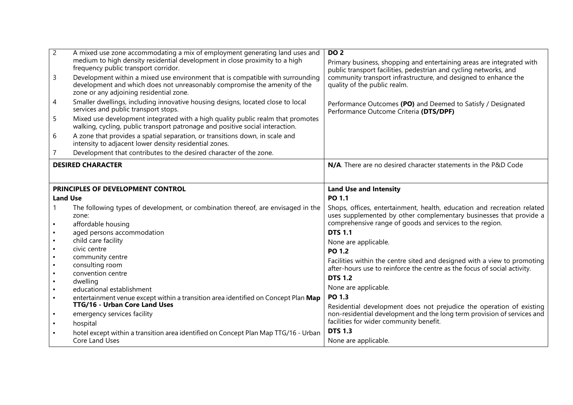| $\overline{2}$                   | A mixed use zone accommodating a mix of employment generating land uses and<br>medium to high density residential development in close proximity to a high       | <b>DO 2</b><br>Primary business, shopping and entertaining areas are integrated with                   |
|----------------------------------|------------------------------------------------------------------------------------------------------------------------------------------------------------------|--------------------------------------------------------------------------------------------------------|
|                                  | frequency public transport corridor.                                                                                                                             | public transport facilities, pedestrian and cycling networks, and                                      |
| $\mathsf{3}$                     | Development within a mixed use environment that is compatible with surrounding<br>development and which does not unreasonably compromise the amenity of the      | community transport infrastructure, and designed to enhance the<br>quality of the public realm.        |
|                                  | zone or any adjoining residential zone.                                                                                                                          |                                                                                                        |
| $\overline{4}$                   | Smaller dwellings, including innovative housing designs, located close to local<br>services and public transport stops.                                          | Performance Outcomes (PO) and Deemed to Satisfy / Designated<br>Performance Outcome Criteria (DTS/DPF) |
| 5                                | Mixed use development integrated with a high quality public realm that promotes<br>walking, cycling, public transport patronage and positive social interaction. |                                                                                                        |
| 6                                | A zone that provides a spatial separation, or transitions down, in scale and<br>intensity to adjacent lower density residential zones.                           |                                                                                                        |
| 7                                | Development that contributes to the desired character of the zone.                                                                                               |                                                                                                        |
|                                  | <b>DESIRED CHARACTER</b>                                                                                                                                         | N/A. There are no desired character statements in the P&D Code                                         |
|                                  |                                                                                                                                                                  |                                                                                                        |
|                                  | PRINCIPLES OF DEVELOPMENT CONTROL                                                                                                                                | <b>Land Use and Intensity</b>                                                                          |
| <b>Land Use</b>                  |                                                                                                                                                                  | PO 1.1                                                                                                 |
|                                  |                                                                                                                                                                  |                                                                                                        |
|                                  | The following types of development, or combination thereof, are envisaged in the                                                                                 | Shops, offices, entertainment, health, education and recreation related                                |
|                                  | zone:                                                                                                                                                            | uses supplemented by other complementary businesses that provide a                                     |
|                                  | affordable housing<br>aged persons accommodation                                                                                                                 | comprehensive range of goods and services to the region.<br><b>DTS 1.1</b>                             |
| $\blacksquare$                   | child care facility                                                                                                                                              | None are applicable.                                                                                   |
| $\blacksquare$                   | civic centre                                                                                                                                                     | <b>PO 1.2</b>                                                                                          |
| $\blacksquare$                   | community centre                                                                                                                                                 | Facilities within the centre sited and designed with a view to promoting                               |
| $\blacksquare$<br>$\blacksquare$ | consulting room                                                                                                                                                  | after-hours use to reinforce the centre as the focus of social activity.                               |
| $\blacksquare$                   | convention centre<br>dwelling                                                                                                                                    | <b>DTS 1.2</b>                                                                                         |
| $\blacksquare$                   | educational establishment                                                                                                                                        | None are applicable.                                                                                   |
| $\blacksquare$                   | entertainment venue except within a transition area identified on Concept Plan Map                                                                               | <b>PO 1.3</b>                                                                                          |
|                                  | <b>TTG/16 - Urban Core Land Uses</b>                                                                                                                             | Residential development does not prejudice the operation of existing                                   |
| $\blacksquare$                   | emergency services facility                                                                                                                                      | non-residential development and the long term provision of services and                                |
| $\blacksquare$                   | hospital                                                                                                                                                         | facilities for wider community benefit.                                                                |
|                                  | hotel except within a transition area identified on Concept Plan Map TTG/16 - Urban<br>Core Land Uses                                                            | <b>DTS 1.3</b><br>None are applicable.                                                                 |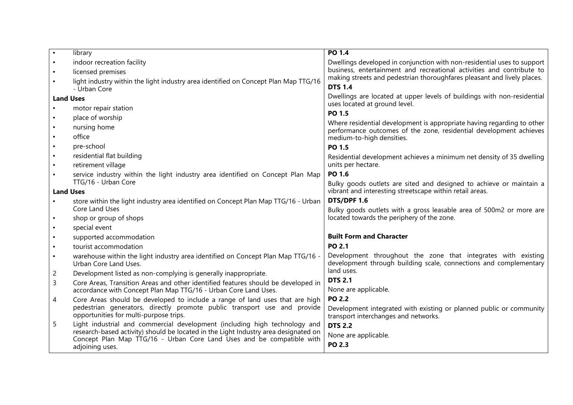|                  | library                                                                                                            | PO 1.4                                                                                                      |  |
|------------------|--------------------------------------------------------------------------------------------------------------------|-------------------------------------------------------------------------------------------------------------|--|
| $\blacksquare$   | indoor recreation facility                                                                                         | Dwellings developed in conjunction with non-residential uses to support                                     |  |
| $\blacksquare$   | licensed premises                                                                                                  | business, entertainment and recreational activities and contribute to                                       |  |
|                  | light industry within the light industry area identified on Concept Plan Map TTG/16                                | making streets and pedestrian thoroughfares pleasant and lively places.                                     |  |
|                  | - Urban Core                                                                                                       | <b>DTS 1.4</b>                                                                                              |  |
| <b>Land Uses</b> |                                                                                                                    | Dwellings are located at upper levels of buildings with non-residential<br>uses located at ground level.    |  |
| $\blacksquare$   | motor repair station                                                                                               | PO 1.5                                                                                                      |  |
|                  | place of worship                                                                                                   | Where residential development is appropriate having regarding to other                                      |  |
| $\blacksquare$   | nursing home                                                                                                       | performance outcomes of the zone, residential development achieves                                          |  |
|                  | office                                                                                                             | medium-to-high densities.                                                                                   |  |
| $\blacksquare$   | pre-school                                                                                                         | PO 1.5                                                                                                      |  |
| $\blacksquare$   | residential flat building                                                                                          | Residential development achieves a minimum net density of 35 dwelling                                       |  |
| $\blacksquare$   | retirement village                                                                                                 | units per hectare.                                                                                          |  |
|                  | service industry within the light industry area identified on Concept Plan Map                                     | PO 1.6                                                                                                      |  |
|                  | TTG/16 - Urban Core                                                                                                | Bulky goods outlets are sited and designed to achieve or maintain a                                         |  |
| <b>Land Uses</b> |                                                                                                                    | vibrant and interesting streetscape within retail areas.                                                    |  |
| $\blacksquare$   | store within the light industry area identified on Concept Plan Map TTG/16 - Urban<br>Core Land Uses               | DTS/DPF 1.6<br>Bulky goods outlets with a gross leasable area of 500m2 or more are                          |  |
| $\blacksquare$   | shop or group of shops                                                                                             | located towards the periphery of the zone.                                                                  |  |
| $\blacksquare$   | special event                                                                                                      |                                                                                                             |  |
| $\blacksquare$   | supported accommodation                                                                                            | <b>Built Form and Character</b>                                                                             |  |
| $\blacksquare$   | tourist accommodation                                                                                              | <b>PO 2.1</b>                                                                                               |  |
| $\blacksquare$   | warehouse within the light industry area identified on Concept Plan Map TTG/16 -                                   | Development throughout the zone that integrates with existing                                               |  |
|                  | Urban Core Land Uses.                                                                                              | development through building scale, connections and complementary                                           |  |
| $\overline{c}$   | Development listed as non-complying is generally inappropriate.                                                    | land uses.                                                                                                  |  |
| $\mathsf{3}$     | Core Areas, Transition Areas and other identified features should be developed in                                  | <b>DTS 2.1</b>                                                                                              |  |
|                  | accordance with Concept Plan Map TTG/16 - Urban Core Land Uses.                                                    | None are applicable.                                                                                        |  |
| 4                | Core Areas should be developed to include a range of land uses that are high                                       | <b>PO 2.2</b>                                                                                               |  |
|                  | pedestrian generators, directly promote public transport use and provide<br>opportunities for multi-purpose trips. | Development integrated with existing or planned public or community<br>transport interchanges and networks. |  |
| 5                | Light industrial and commercial development (including high technology and                                         | <b>DTS 2.2</b>                                                                                              |  |
|                  | research-based activity) should be located in the Light Industry area designated on                                | None are applicable.                                                                                        |  |
|                  | Concept Plan Map TTG/16 - Urban Core Land Uses and be compatible with<br>adjoining uses.                           | <b>PO 2.3</b>                                                                                               |  |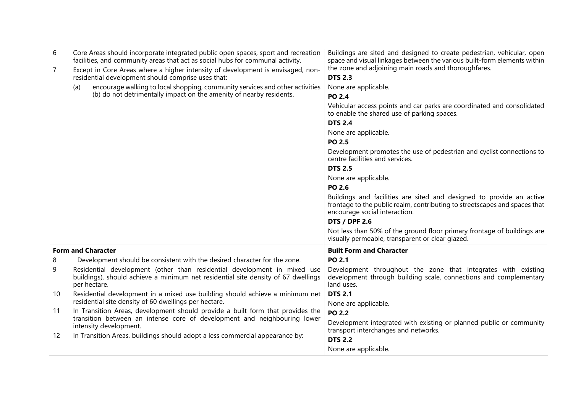| 6              | Core Areas should incorporate integrated public open spaces, sport and recreation<br>facilities, and community areas that act as social hubs for communal activity.           | Buildings are sited and designed to create pedestrian, vehicular, open<br>space and visual linkages between the various built-form elements within                                  |  |  |
|----------------|-------------------------------------------------------------------------------------------------------------------------------------------------------------------------------|-------------------------------------------------------------------------------------------------------------------------------------------------------------------------------------|--|--|
| $\overline{7}$ | Except in Core Areas where a higher intensity of development is envisaged, non-<br>residential development should comprise uses that:                                         | the zone and adjoining main roads and thoroughfares.<br><b>DTS 2.3</b>                                                                                                              |  |  |
|                | encourage walking to local shopping, community services and other activities<br>(a)<br>(b) do not detrimentally impact on the amenity of nearby residents.                    | None are applicable.<br><b>PO 2.4</b>                                                                                                                                               |  |  |
|                |                                                                                                                                                                               | Vehicular access points and car parks are coordinated and consolidated<br>to enable the shared use of parking spaces.                                                               |  |  |
|                |                                                                                                                                                                               | <b>DTS 2.4</b>                                                                                                                                                                      |  |  |
|                |                                                                                                                                                                               | None are applicable.                                                                                                                                                                |  |  |
|                |                                                                                                                                                                               | <b>PO 2.5</b>                                                                                                                                                                       |  |  |
|                |                                                                                                                                                                               | Development promotes the use of pedestrian and cyclist connections to<br>centre facilities and services.                                                                            |  |  |
|                |                                                                                                                                                                               | <b>DTS 2.5</b>                                                                                                                                                                      |  |  |
|                |                                                                                                                                                                               | None are applicable.                                                                                                                                                                |  |  |
|                |                                                                                                                                                                               | PO 2.6                                                                                                                                                                              |  |  |
|                |                                                                                                                                                                               | Buildings and facilities are sited and designed to provide an active<br>frontage to the public realm, contributing to streetscapes and spaces that<br>encourage social interaction. |  |  |
|                |                                                                                                                                                                               | <b>DTS / DPF 2.6</b>                                                                                                                                                                |  |  |
|                |                                                                                                                                                                               | Not less than 50% of the ground floor primary frontage of buildings are<br>visually permeable, transparent or clear glazed.                                                         |  |  |
|                | <b>Form and Character</b>                                                                                                                                                     | <b>Built Form and Character</b>                                                                                                                                                     |  |  |
| 8              | Development should be consistent with the desired character for the zone.                                                                                                     | <b>PO 2.1</b>                                                                                                                                                                       |  |  |
| 9              | Residential development (other than residential development in mixed use<br>buildings), should achieve a minimum net residential site density of 67 dwellings<br>per hectare. | Development throughout the zone that integrates with existing<br>development through building scale, connections and complementary<br>land uses.                                    |  |  |
| 10             | Residential development in a mixed use building should achieve a minimum net                                                                                                  | <b>DTS 2.1</b>                                                                                                                                                                      |  |  |
|                | residential site density of 60 dwellings per hectare.                                                                                                                         | None are applicable.                                                                                                                                                                |  |  |
| 11             | In Transition Areas, development should provide a built form that provides the<br>transition between an intense core of development and neighbouring lower                    | <b>PO 2.2</b>                                                                                                                                                                       |  |  |
|                | intensity development.                                                                                                                                                        | Development integrated with existing or planned public or community                                                                                                                 |  |  |
| 12             | In Transition Areas, buildings should adopt a less commercial appearance by:                                                                                                  | transport interchanges and networks.                                                                                                                                                |  |  |
|                |                                                                                                                                                                               | <b>DTS 2.2</b>                                                                                                                                                                      |  |  |
|                |                                                                                                                                                                               | None are applicable.                                                                                                                                                                |  |  |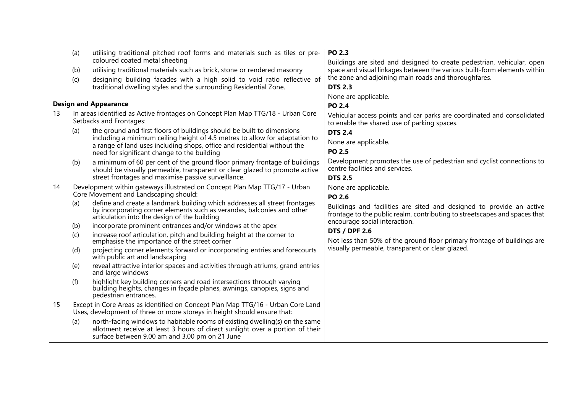|    | (a) | utilising traditional pitched roof forms and materials such as tiles or pre-<br>coloured coated metal sheeting                                                                                                   | PO 2.3                                                                                                                                             |
|----|-----|------------------------------------------------------------------------------------------------------------------------------------------------------------------------------------------------------------------|----------------------------------------------------------------------------------------------------------------------------------------------------|
|    | (b) | utilising traditional materials such as brick, stone or rendered masonry                                                                                                                                         | Buildings are sited and designed to create pedestrian, vehicular, open<br>space and visual linkages between the various built-form elements within |
|    | (c) | designing building facades with a high solid to void ratio reflective of                                                                                                                                         | the zone and adjoining main roads and thoroughfares.                                                                                               |
|    |     | traditional dwelling styles and the surrounding Residential Zone.                                                                                                                                                | <b>DTS 2.3</b>                                                                                                                                     |
|    |     |                                                                                                                                                                                                                  | None are applicable.                                                                                                                               |
|    |     | <b>Design and Appearance</b>                                                                                                                                                                                     | <b>PO 2.4</b>                                                                                                                                      |
| 13 |     | In areas identified as Active frontages on Concept Plan Map TTG/18 - Urban Core<br>Setbacks and Frontages:                                                                                                       | Vehicular access points and car parks are coordinated and consolidated<br>to enable the shared use of parking spaces.                              |
|    | (a) | the ground and first floors of buildings should be built to dimensions                                                                                                                                           | <b>DTS 2.4</b>                                                                                                                                     |
|    |     | including a minimum ceiling height of 4.5 metres to allow for adaptation to<br>a range of land uses including shops, office and residential without the                                                          | None are applicable.                                                                                                                               |
|    |     | need for significant change to the building                                                                                                                                                                      | <b>PO 2.5</b>                                                                                                                                      |
|    | (b) | a minimum of 60 per cent of the ground floor primary frontage of buildings<br>should be visually permeable, transparent or clear glazed to promote active<br>street frontages and maximise passive surveillance. | Development promotes the use of pedestrian and cyclist connections to<br>centre facilities and services.<br><b>DTS 2.5</b>                         |
| 14 |     | Development within gateways illustrated on Concept Plan Map TTG/17 - Urban                                                                                                                                       | None are applicable.                                                                                                                               |
|    |     | Core Movement and Landscaping should:                                                                                                                                                                            | <b>PO 2.6</b>                                                                                                                                      |
|    | (a) | define and create a landmark building which addresses all street frontages<br>by incorporating corner elements such as verandas, balconies and other<br>articulation into the design of the building             | Buildings and facilities are sited and designed to provide an active<br>frontage to the public realm, contributing to streetscapes and spaces that |
|    | (b) | incorporate prominent entrances and/or windows at the apex                                                                                                                                                       | encourage social interaction.                                                                                                                      |
|    | (c) | increase roof articulation, pitch and building height at the corner to<br>emphasise the importance of the street corner                                                                                          | <b>DTS / DPF 2.6</b><br>Not less than 50% of the ground floor primary frontage of buildings are                                                    |
|    | (d) | projecting corner elements forward or incorporating entries and forecourts<br>with public art and landscaping                                                                                                    | visually permeable, transparent or clear glazed.                                                                                                   |
|    | (e) | reveal attractive interior spaces and activities through atriums, grand entries<br>and large windows                                                                                                             |                                                                                                                                                    |
|    | (f) | highlight key building corners and road intersections through varying<br>building heights, changes in façade planes, awnings, canopies, signs and<br>pedestrian entrances.                                       |                                                                                                                                                    |
| 15 |     | Except in Core Areas as identified on Concept Plan Map TTG/16 - Urban Core Land<br>Uses, development of three or more storeys in height should ensure that:                                                      |                                                                                                                                                    |
|    | (a) | north-facing windows to habitable rooms of existing dwelling(s) on the same<br>allotment receive at least 3 hours of direct sunlight over a portion of their<br>surface between 9.00 am and 3.00 pm on 21 June   |                                                                                                                                                    |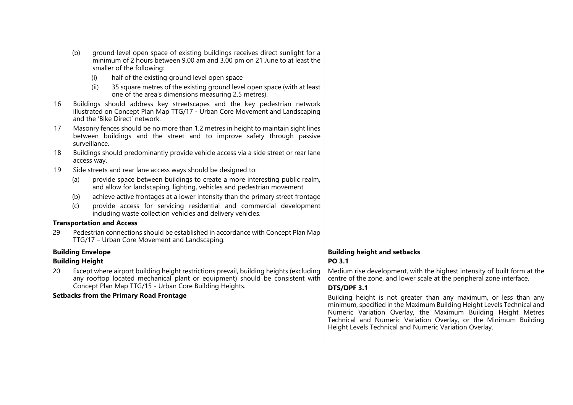|    | ground level open space of existing buildings receives direct sunlight for a<br>(b)<br>minimum of 2 hours between 9.00 am and 3.00 pm on 21 June to at least the<br>smaller of the following: |                                                                                                                                                                                                                                                                                                                                            |
|----|-----------------------------------------------------------------------------------------------------------------------------------------------------------------------------------------------|--------------------------------------------------------------------------------------------------------------------------------------------------------------------------------------------------------------------------------------------------------------------------------------------------------------------------------------------|
|    | half of the existing ground level open space<br>(i)                                                                                                                                           |                                                                                                                                                                                                                                                                                                                                            |
|    | 35 square metres of the existing ground level open space (with at least<br>(ii)<br>one of the area's dimensions measuring 2.5 metres).                                                        |                                                                                                                                                                                                                                                                                                                                            |
| 16 | Buildings should address key streetscapes and the key pedestrian network<br>illustrated on Concept Plan Map TTG/17 - Urban Core Movement and Landscaping<br>and the 'Bike Direct' network.    |                                                                                                                                                                                                                                                                                                                                            |
| 17 | Masonry fences should be no more than 1.2 metres in height to maintain sight lines<br>between buildings and the street and to improve safety through passive<br>surveillance.                 |                                                                                                                                                                                                                                                                                                                                            |
| 18 | Buildings should predominantly provide vehicle access via a side street or rear lane<br>access way.                                                                                           |                                                                                                                                                                                                                                                                                                                                            |
| 19 | Side streets and rear lane access ways should be designed to:                                                                                                                                 |                                                                                                                                                                                                                                                                                                                                            |
|    | provide space between buildings to create a more interesting public realm,<br>(a)<br>and allow for landscaping, lighting, vehicles and pedestrian movement                                    |                                                                                                                                                                                                                                                                                                                                            |
|    | achieve active frontages at a lower intensity than the primary street frontage<br>(b)                                                                                                         |                                                                                                                                                                                                                                                                                                                                            |
|    | provide access for servicing residential and commercial development<br>(c)<br>including waste collection vehicles and delivery vehicles.                                                      |                                                                                                                                                                                                                                                                                                                                            |
|    | <b>Transportation and Access</b>                                                                                                                                                              |                                                                                                                                                                                                                                                                                                                                            |
| 29 | Pedestrian connections should be established in accordance with Concept Plan Map<br>TTG/17 - Urban Core Movement and Landscaping.                                                             |                                                                                                                                                                                                                                                                                                                                            |
|    | <b>Building Envelope</b>                                                                                                                                                                      | <b>Building height and setbacks</b>                                                                                                                                                                                                                                                                                                        |
|    | <b>Building Height</b>                                                                                                                                                                        | PO 3.1                                                                                                                                                                                                                                                                                                                                     |
| 20 | Except where airport building height restrictions prevail, building heights (excluding<br>any rooftop located mechanical plant or equipment) should be consistent with                        | Medium rise development, with the highest intensity of built form at the<br>centre of the zone, and lower scale at the peripheral zone interface.                                                                                                                                                                                          |
|    | Concept Plan Map TTG/15 - Urban Core Building Heights.                                                                                                                                        | DTS/DPF 3.1                                                                                                                                                                                                                                                                                                                                |
|    | <b>Setbacks from the Primary Road Frontage</b>                                                                                                                                                | Building height is not greater than any maximum, or less than any<br>minimum, specified in the Maximum Building Height Levels Technical and<br>Numeric Variation Overlay, the Maximum Building Height Metres<br>Technical and Numeric Variation Overlay, or the Minimum Building<br>Height Levels Technical and Numeric Variation Overlay. |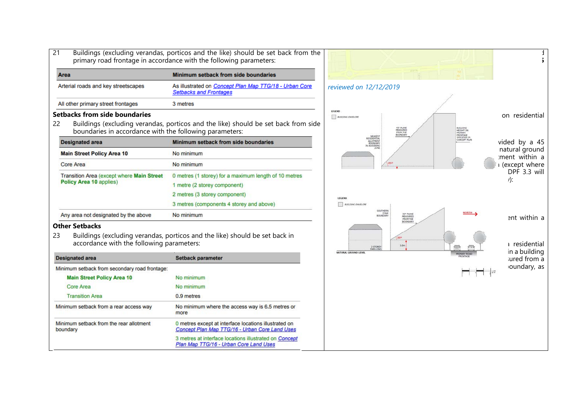| 21                                                                       | Buildings (excluding verandas, porticos and the like) should be set back from the<br>primary road frontage in accordance with the following parameters: | $\ddot{\phantom{0}}$                                                                                  |
|--------------------------------------------------------------------------|---------------------------------------------------------------------------------------------------------------------------------------------------------|-------------------------------------------------------------------------------------------------------|
| Area                                                                     | Minimum setback from side boundaries                                                                                                                    |                                                                                                       |
| Arterial roads and key streetscapes                                      | As illustrated on Concept Plan Map TTG/18 - Urban Core<br><b>Setbacks and Frontages</b>                                                                 | reviewed on 12/12/2019                                                                                |
| All other primary street frontages                                       | 3 metres                                                                                                                                                |                                                                                                       |
| <b>Setbacks from side boundaries</b><br>22                               | Buildings (excluding verandas, porticos and the like) should be set back from side                                                                      | LEGEND<br>on residential<br><b>BUILDING ENVELOPE</b><br>45° PLANE<br>BUILDING<br>HEIGHT ON<br>PRIMARY |
| boundaries in accordance with the following parameters:                  |                                                                                                                                                         | FROM THE<br>BOUNDARY<br>NEAREST<br>SPECIFIED II<br>CONCEPT PLA                                        |
| <b>Designated area</b>                                                   | Minimum setback from side boundaries                                                                                                                    | RESIDENTIAL<br>ALLOTMENT<br>BOUNDARY<br>IN ADJOINING<br>vided by a 45<br>natural ground               |
| <b>Main Street Policy Area 10</b>                                        | No minimum                                                                                                                                              | :ment within a                                                                                        |
| Core Area                                                                | No minimum                                                                                                                                              | I (except where                                                                                       |
| Transition Area (except where Main Street<br>Policy Area 10 applies)     | 0 metres (1 storey) for a maximum length of 10 metres<br>1 metre (2 storey component)                                                                   | DPF 3.3 will<br>$\eta$ :                                                                              |
|                                                                          | 2 metres (3 storey component)                                                                                                                           | LEGEND                                                                                                |
|                                                                          | 3 metres (components 4 storey and above)                                                                                                                | <b>BUTLODIG ENVELOPE</b>                                                                              |
| Any area not designated by the above                                     | No minimum                                                                                                                                              | SOUTHERN<br><b>NORTH</b><br>30 <sup>0</sup> PLANE<br>BOUNDARY<br>ent within a<br>FROM TH              |
| <b>Other Setbacks</b><br>23<br>accordance with the following parameters: | Buildings (excluding verandas, porticos and the like) should be set back in                                                                             | BOUNDAR!<br>residential<br>3.0 <sub>m</sub><br>2 STORE<br>in a building                               |
| <b>Designated area</b>                                                   | <b>Setback parameter</b>                                                                                                                                | NATURAL GROUND LEVEL<br>ured from a                                                                   |
| Minimum setback from secondary road frontage:                            |                                                                                                                                                         | oundary, as                                                                                           |
| <b>Main Street Policy Area 10</b>                                        | No minimum                                                                                                                                              |                                                                                                       |
| Core Area                                                                | No minimum                                                                                                                                              |                                                                                                       |
| <b>Transition Area</b>                                                   | 0.9 metres                                                                                                                                              |                                                                                                       |
| Minimum setback from a rear access way                                   | No minimum where the access way is 6.5 metres or<br>more                                                                                                |                                                                                                       |
| Minimum setback from the rear allotment<br>boundary                      | 0 metres except at interface locations illustrated on<br>Concept Plan Map TTG/16 - Urban Core Land Uses                                                 |                                                                                                       |
|                                                                          | 3 metres at interface locations illustrated on Concept<br>Plan Map TTG/16 - Urban Core Land Uses                                                        |                                                                                                       |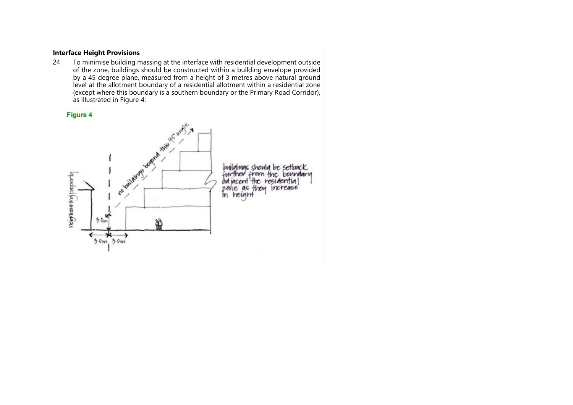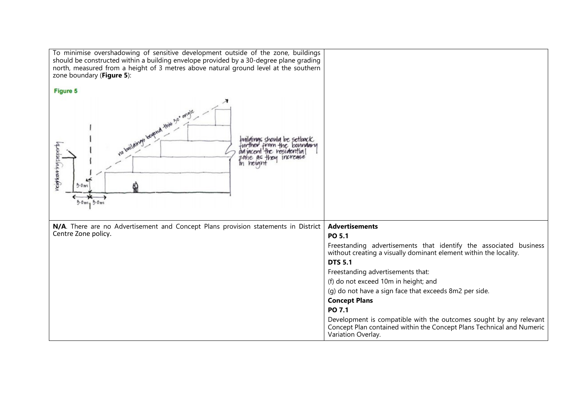| To minimise overshadowing of sensitive development outside of the zone, buildings<br>should be constructed within a building envelope provided by a 30-degree plane grading<br>north, measured from a height of 3 metres above natural ground level at the southern<br>zone boundary (Figure 5):<br><b>Figure 5</b> |                                                                                                                                                                   |  |
|---------------------------------------------------------------------------------------------------------------------------------------------------------------------------------------------------------------------------------------------------------------------------------------------------------------------|-------------------------------------------------------------------------------------------------------------------------------------------------------------------|--|
| no beyond this 30° ang<br>avilolimos shoulo be setbock<br>from the boundary<br>contention<br>In herar<br>3.0m<br>$5.0m_1 5.0m$                                                                                                                                                                                      |                                                                                                                                                                   |  |
| N/A. There are no Advertisement and Concept Plans provision statements in District                                                                                                                                                                                                                                  | <b>Advertisements</b>                                                                                                                                             |  |
| Centre Zone policy.                                                                                                                                                                                                                                                                                                 | PO 5.1                                                                                                                                                            |  |
|                                                                                                                                                                                                                                                                                                                     | Freestanding advertisements that identify the associated business<br>without creating a visually dominant element within the locality.                            |  |
|                                                                                                                                                                                                                                                                                                                     | <b>DTS 5.1</b>                                                                                                                                                    |  |
|                                                                                                                                                                                                                                                                                                                     | Freestanding advertisements that:                                                                                                                                 |  |
|                                                                                                                                                                                                                                                                                                                     | (f) do not exceed 10m in height; and                                                                                                                              |  |
|                                                                                                                                                                                                                                                                                                                     | (q) do not have a sign face that exceeds 8m2 per side.                                                                                                            |  |
|                                                                                                                                                                                                                                                                                                                     | <b>Concept Plans</b>                                                                                                                                              |  |
|                                                                                                                                                                                                                                                                                                                     | PO 7.1                                                                                                                                                            |  |
|                                                                                                                                                                                                                                                                                                                     | Development is compatible with the outcomes sought by any relevant<br>Concept Plan contained within the Concept Plans Technical and Numeric<br>Variation Overlay. |  |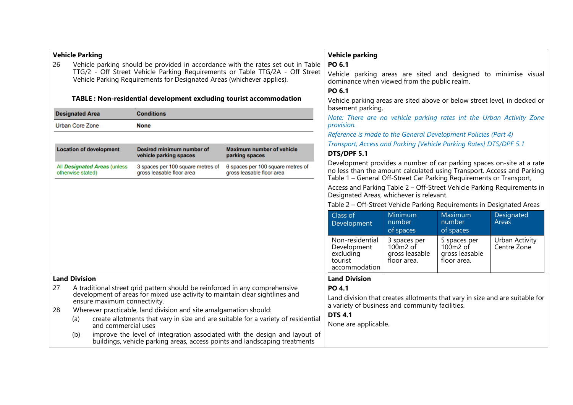| <b>Vehicle Parking</b>                                                                                                                                                                                                                                                       |                                                                                                                                                        |                                                                     | <b>Vehicle parking</b>                                                                                                                                                                                                 |                      |                                                                                                                                                                        |                                                           |                                                                       |                               |
|------------------------------------------------------------------------------------------------------------------------------------------------------------------------------------------------------------------------------------------------------------------------------|--------------------------------------------------------------------------------------------------------------------------------------------------------|---------------------------------------------------------------------|------------------------------------------------------------------------------------------------------------------------------------------------------------------------------------------------------------------------|----------------------|------------------------------------------------------------------------------------------------------------------------------------------------------------------------|-----------------------------------------------------------|-----------------------------------------------------------------------|-------------------------------|
| 26                                                                                                                                                                                                                                                                           | Vehicle parking should be provided in accordance with the rates set out in Table                                                                       |                                                                     |                                                                                                                                                                                                                        | PO 6.1               |                                                                                                                                                                        |                                                           |                                                                       |                               |
|                                                                                                                                                                                                                                                                              | TTG/2 - Off Street Vehicle Parking Requirements or Table TTG/2A - Off Street<br>Vehicle Parking Requirements for Designated Areas (whichever applies). |                                                                     |                                                                                                                                                                                                                        |                      | Vehicle parking areas are sited and designed to minimise visual<br>dominance when viewed from the public realm.                                                        |                                                           |                                                                       |                               |
|                                                                                                                                                                                                                                                                              |                                                                                                                                                        |                                                                     |                                                                                                                                                                                                                        |                      | PO 6.1                                                                                                                                                                 |                                                           |                                                                       |                               |
|                                                                                                                                                                                                                                                                              |                                                                                                                                                        | TABLE : Non-residential development excluding tourist accommodation |                                                                                                                                                                                                                        |                      | Vehicle parking areas are sited above or below street level, in decked or<br>basement parking.<br>Note: There are no vehicle parking rates int the Urban Activity Zone |                                                           |                                                                       |                               |
|                                                                                                                                                                                                                                                                              | <b>Designated Area</b>                                                                                                                                 | <b>Conditions</b>                                                   |                                                                                                                                                                                                                        |                      |                                                                                                                                                                        |                                                           |                                                                       |                               |
|                                                                                                                                                                                                                                                                              | <b>Urban Core Zone</b>                                                                                                                                 | <b>None</b>                                                         |                                                                                                                                                                                                                        |                      | provision.                                                                                                                                                             |                                                           |                                                                       |                               |
|                                                                                                                                                                                                                                                                              |                                                                                                                                                        |                                                                     |                                                                                                                                                                                                                        |                      |                                                                                                                                                                        |                                                           | Reference is made to the General Development Policies (Part 4)        |                               |
|                                                                                                                                                                                                                                                                              | <b>Location of development</b>                                                                                                                         | <b>Desired minimum number of</b><br>vehicle parking spaces          | <b>Maximum number of vehicle</b><br>parking spaces                                                                                                                                                                     |                      | Transport, Access and Parking [Vehicle Parking Rates] DTS/DPF 5.1<br>DTS/DPF 5.1                                                                                       |                                                           |                                                                       |                               |
| All Designated Areas (unless<br>3 spaces per 100 square metres of<br>6 spaces per 100 square metres of<br>otherwise stated)<br>gross leasable floor area<br>gross leasable floor area                                                                                        |                                                                                                                                                        |                                                                     | Development provides a number of car parking spaces on-site at a rate<br>no less than the amount calculated using Transport, Access and Parking<br>Table 1 - General Off-Street Car Parking Requirements or Transport, |                      |                                                                                                                                                                        |                                                           |                                                                       |                               |
|                                                                                                                                                                                                                                                                              |                                                                                                                                                        |                                                                     | Access and Parking Table 2 - Off-Street Vehicle Parking Requirements in<br>Designated Areas, whichever is relevant.                                                                                                    |                      |                                                                                                                                                                        |                                                           |                                                                       |                               |
|                                                                                                                                                                                                                                                                              |                                                                                                                                                        |                                                                     |                                                                                                                                                                                                                        |                      |                                                                                                                                                                        |                                                           | Table 2 – Off-Street Vehicle Parking Requirements in Designated Areas |                               |
|                                                                                                                                                                                                                                                                              |                                                                                                                                                        |                                                                     |                                                                                                                                                                                                                        |                      | Class of<br>Development                                                                                                                                                | Minimum<br>number                                         | Maximum<br>number                                                     | Designated<br>Areas           |
|                                                                                                                                                                                                                                                                              |                                                                                                                                                        |                                                                     |                                                                                                                                                                                                                        |                      |                                                                                                                                                                        | of spaces                                                 | of spaces                                                             |                               |
|                                                                                                                                                                                                                                                                              |                                                                                                                                                        |                                                                     |                                                                                                                                                                                                                        |                      | Non-residential<br>Development<br>excluding<br>tourist<br>accommodation                                                                                                | 3 spaces per<br>100m2 of<br>gross leasable<br>floor area. | 5 spaces per<br>100m2 of<br>gross leasable<br>floor area.             | Urban Activity<br>Centre Zone |
|                                                                                                                                                                                                                                                                              | <b>Land Division</b>                                                                                                                                   |                                                                     |                                                                                                                                                                                                                        |                      | <b>Land Division</b>                                                                                                                                                   |                                                           |                                                                       |                               |
| 27<br>A traditional street grid pattern should be reinforced in any comprehensive<br>development of areas for mixed use activity to maintain clear sightlines and<br>ensure maximum connectivity.<br>Wherever practicable, land division and site amalgamation should:<br>28 |                                                                                                                                                        |                                                                     | PO 4.1<br>Land division that creates allotments that vary in size and are suitable for<br>a variety of business and community facilities.<br><b>DTS 4.1</b>                                                            |                      |                                                                                                                                                                        |                                                           |                                                                       |                               |
|                                                                                                                                                                                                                                                                              |                                                                                                                                                        |                                                                     |                                                                                                                                                                                                                        |                      |                                                                                                                                                                        |                                                           |                                                                       |                               |
|                                                                                                                                                                                                                                                                              | create allotments that vary in size and are suitable for a variety of residential<br>(a)<br>and commercial uses                                        |                                                                     |                                                                                                                                                                                                                        | None are applicable. |                                                                                                                                                                        |                                                           |                                                                       |                               |
|                                                                                                                                                                                                                                                                              | (b)                                                                                                                                                    |                                                                     | improve the level of integration associated with the design and layout of<br>buildings, vehicle parking areas, access points and landscaping treatments                                                                |                      |                                                                                                                                                                        |                                                           |                                                                       |                               |